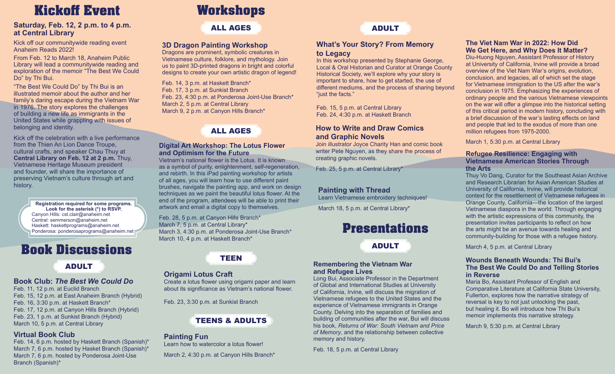# **Kickoff Event**

### **Saturday, Feb. 12, 2 p.m. to 4 p.m. at Central Library**

Kick off our communitywide reading event Anaheim Reads 2022!

From Feb. 12 to March 18, Anaheim Public Library will lead a communitywide reading and exploration of the memoir "The Best We Could Do" by Thi Bui.

"The Best We Could Do" by Thi Bui is an illustrated memoir about the author and her family's daring escape during the Vietnam War in 1976. The story explores the challenges of building a new life as immigrants in the United States while grappling with issues of belonging and identity.

Kick off the celebration with a live performance from the Thien An Lion Dance Troupe, cultural crafts, and speaker Chau Thuy at **Central Library on Feb. 12 at 2 p.m.** Thuy, Vietnamese Heritage Museum president and founder, will share the importance of preserving Vietnam's culture through art and history.

> **Registration required for some programs. Look for the asterisk (\*) to RSVP.** Canyon Hills: cst.clair@anaheim.net Central: semmerson@anaheim.net Haskett: haskettprograms@anaheim.net Ponderosa: ponderosaprograms@anaheim.net

## **Book Discussions**

## ADULT

### **Book Club:** *The Best We Could Do*

Feb. 11, 12 p.m. at Euclid Branch Feb. 15, 12 p.m. at East Anaheim Branch (Hybrid) Feb. 16, 3:30 p.m. at Haskett Branch\* Feb. 17, 12 p.m. at Canyon Hills Branch (Hybrid) Feb. 23, 1 p.m. at Sunkist Branch (Hybrid) March 10, 5 p.m. at Central Library

### **Virtual Book Club**

Feb. 14, 6 p.m. hosted by Haskett Branch (Spanish)\* March 7, 6 p.m. hosted by Hasket Branch (Spanish)\* March 7, 6 p.m. hosted by Ponderosa Joint-Use Branch (Spanish)\*

# **Workshops**

## ALL AGES ADULT

### **3D Dragon Painting Workshop**

Dragons are prominent, symbolic creatures in Vietnamese culture, folklore, and mythology. Join us to paint 3D-printed dragons in bright and colorful designs to create your own artistic dragon of legend!

Feb. 14, 3 p.m. at Haskett Branch\* Feb. 17, 3 p.m. at Sunkist Branch Feb. 23, 4:30 p.m. at Ponderosa Joint-Use Branch\* March 2, 5 p.m. at Central Library March 9, 2 p.m. at Canyon Hills Branch\*

ALL AGES

### **Digital Art Workshop: The Lotus Flower and Optimism for the Future**

Vietnam's national flower is the Lotus. It is known as a symbol of purity, enlightenment, self-regeneration, and rebirth. In this iPad painting workshop for artists of all ages, you will learn how to use different paint brushes, navigate the painting app, and work on design techniques as we paint the beautiful lotus flower. At the end of the program, attendees will be able to print their artwork and email a digital copy to themselves.

Feb. 28, 5 p.m. at Canyon Hills Branch\* March 7, 5 p.m. at Central Library\* March 3, 4:30 p.m. at Ponderosa Joint-Use Branch\* March 10, 4 p.m. at Haskett Branch\*



### **Origami Lotus Craft**

Create a lotus flower using origami paper and learn about its significance as Vietnam's national flower.

Feb. 23, 3:30 p.m. at Sunkist Branch

## TEENS & ADULTS

**Painting Fun**

Learn how to watercolor a lotus flower!

March 2, 4:30 p.m. at Canyon Hills Branch\*



### **What's Your Story? From Memory to Legacy**

In this workshop presented by Stephanie George, Local & Oral Historian and Curator at Orange County Historical Society, we'll explore why your story is important to share, how to get started, the use of different mediums, and the process of sharing beyond "just the facts."

Feb. 15, 5 p.m. at Central Library Feb. 24, 4:30 p.m. at Haskett Branch

### **How to Write and Draw Comics and Graphic Novels**

Join illustrator Joyce Charity Han and comic book writer Pete Nguyen, as they share the process of creating graphic novels.

Feb. 25, 5 p.m. at Central Library\*

### **Painting with Thread**

Learn Vietnamese embroidery techniques!

March 18, 5 p.m. at Central Library\*

## **Presentations**

ADULT

### **Remembering the Vietnam War and Refugee Lives**

Long Bui, Associate Professor in the Department of Global and International Studies at University of California, Irvine, will discuss the migration of Vietnamese refugees to the United States and the experience of Vietnamese immigrants in Orange County. Delving into the separation of families and building of communities after the war, Bui will discuss his book, *Returns of War: South Vietnam and Price of Memory*, and the relationship between collective memory and history.

Feb. 18, 5 p.m. at Central Library

### **The Viet Nam War in 2022: How Did We Get Here, and Why Does It Matter?**

Diu-Huong Nguyen, Assistant Professor of History at University of California, Irvine will provide a broad overview of the Viet Nam War's origins, evolution, conclusion, and legacies, all of which set the stage for Vietnamese immigration to the US after the war's conclusion in 1975. Emphasizing the experiences of ordinary people and the various Vietnamese viewpoints on the war will offer a glimpse into the historical setting of this critical period in modern history, concluding with a brief discussion of the war's lasting effects on land and people that led to the exodus of more than one million refugees from 1975-2000.

March 1, 5:30 p.m. at Central Library

### **Refugee Resilience: Engaging with Vietnamese American Stories Through the Arts**

Thuy Vo Dang, Curator for the Southeast Asian Archive and Research Librarian for Asian American Studies at University of California, Irvine, will provide historical context for the resettlement of Vietnamese refugees in Orange County, California—the location of the largest Vietnamese diaspora in the world. Through engaging with the artistic expressions of this community, the presentation invites participants to reflect on how the arts might be an avenue towards healing and community-building for those with a refugee history.

March 4, 5 p.m. at Central Library

#### **Wounds Beneath Wounds: Thi Bui's The Best We Could Do and Telling Stories in Reverse**

Maria Bo, Assistant Professor of English and Comparative Literature at California State University, Fullerton, explores how the narrative strategy of reversal is key to not just unlocking the past, but healing it. Bo will introduce how Thi Bui's memoir implements this narrative strategy.

March 9, 5:30 p.m. at Central Library